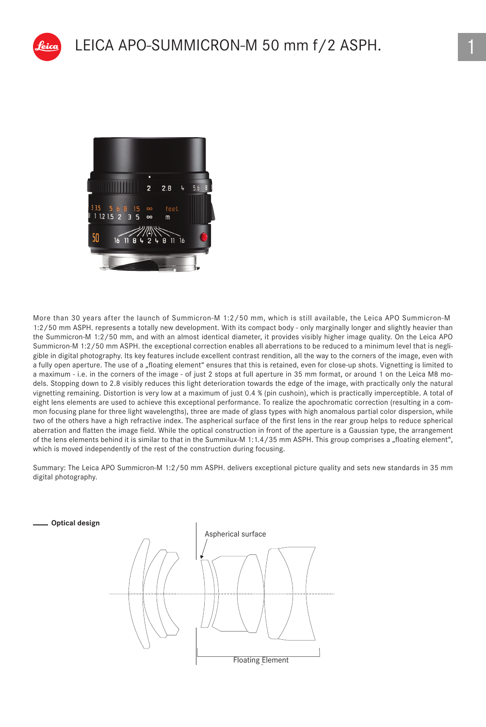

More than 30 years after the launch of Summicron-M 1:2/50 mm, which is still available, the Leica APO Summicron-M 1:2/50 mm ASPH. represents a totally new development. With its compact body - only marginally longer and slightly heavier than the Summicron-M 1:2/50 mm, and with an almost identical diameter, it provides visibly higher image quality. On the Leica APO Summicron-M 1:2/50 mm ASPH. the exceptional correction enables all aberrations to be reduced to a minimum level that is negligible in digital photography. Its key features include excellent contrast rendition, all the way to the corners of the image, even with a fully open aperture. The use of a "floating element" ensures that this is retained, even for close-up shots. Vignetting is limited to a maximum - i.e. in the corners of the image - of just 2 stops at full aperture in 35 mm format, or around 1 on the Leica M8 models. Stopping down to 2.8 visibly reduces this light deterioration towards the edge of the image, with practically only the natural vignetting remaining. Distortion is very low at a maximum of just 0.4 % (pin cushoin), which is practically imperceptible. A total of eight lens elements are used to achieve this exceptional performance. To realize the apochromatic correction (resulting in a common focusing plane for three light wavelengths), three are made of glass types with high anomalous partial color dispersion, while two of the others have a high refractive index. The aspherical surface of the first lens in the rear group helps to reduce spherical aberration and flatten the image field. While the optical construction in front of the aperture is a Gaussian type, the arrangement of the lens elements behind it is similar to that in the Summilux-M 1:1.4/35 mm ASPH. This group comprises a "floating element", which is moved independently of the rest of the construction during focusing.

Summary: The Leica APO Summicron-M 1:2/50 mm ASPH. delivers exceptional picture quality and sets new standards in 35 mm digital photography.

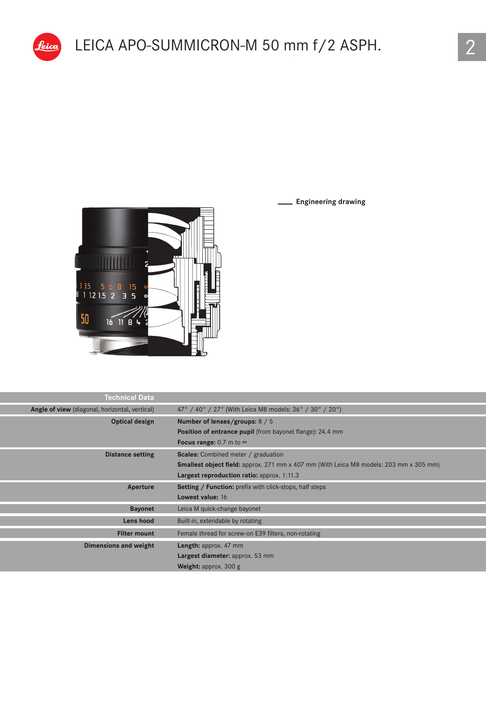**Engineering drawing**



<u>leica</u>

| Technical Data                                 |                                                                                               |
|------------------------------------------------|-----------------------------------------------------------------------------------------------|
| Angle of view (diagonal, horizontal, vertical) | 47° / 40° / 27° (With Leica M8 models: 36° / 30° / 20°)                                       |
| Optical design                                 | Number of lenses/groups: 8 / 5                                                                |
|                                                | Position of entrance pupil (from bayonet flange): 24.4 mm                                     |
|                                                | Focus range: 0.7 m to $\infty$                                                                |
| <b>Distance setting</b>                        | <b>Scales:</b> Combined meter / graduation                                                    |
|                                                | <b>Smallest object field:</b> approx. 271 mm x 407 mm (With Leica M8 models: 203 mm x 305 mm) |
|                                                | Largest reproduction ratio: approx. 1:11.3                                                    |
| Aperture                                       | Setting / Function: prefix with click-stops, half steps                                       |
|                                                | Lowest value: 16                                                                              |
| <b>Bayonet</b>                                 | Leica M quick-change bayonet                                                                  |
| Lens hood                                      | Built-in, extendable by rotating                                                              |
| <b>Filter mount</b>                            | Female thread for screw-on E39 filters, non-rotating                                          |
| Dimensions and weight                          | Length: approx. 47 mm                                                                         |
|                                                | Largest diameter: approx. 53 mm                                                               |
|                                                | Weight: approx. $300 g$                                                                       |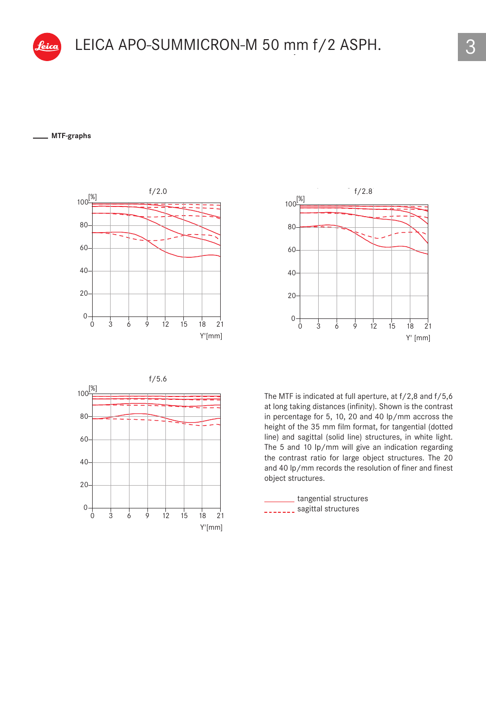#### **MTF-graphs** 40







The MTF is indicated at full aperture, at f/2,8 and f/5,6 at long taking distances (infinity). Shown is the contrast in percentage for 5, 10, 20 and 40 lp/mm accross the height of the 35 mm film format, for tangential (dotted line) and sagittal (solid line) structures, in white light. The 5 and 10 lp/mm will give an indication regarding the contrast ratio for large object structures. The 20 20 3 and 40 lp/mm records the resolution of finer and finest object structures. 0  $\circ$ 

tangential structures ------- sagittal structures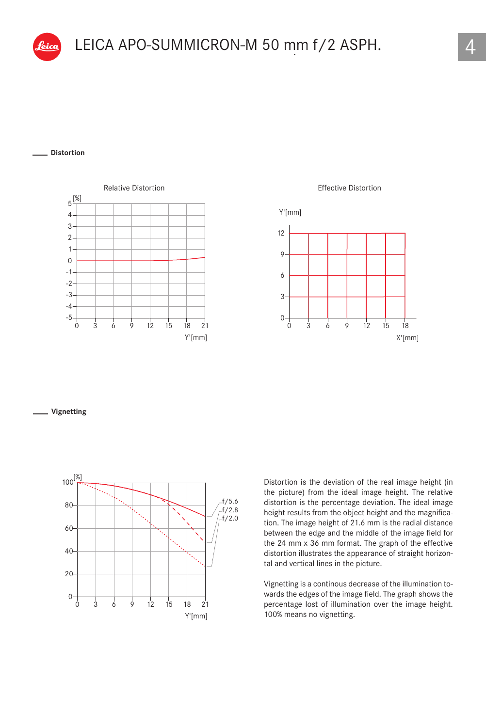

### LEICA APO-SUMMICRON-M 50 mm f/2 ASPH  $\overline{150}$   $\overline{0}$   $\overline{0}$   $\overline{0}$   $\overline{0}$   $\overline{0}$   $\overline{0}$   $\overline{0}$   $\overline{0}$   $\overline{0}$   $\overline{0}$   $\overline{0}$   $\overline{0}$   $\overline{0}$   $\overline{0}$   $\overline{0}$   $\overline{0}$   $\overline{0}$   $\overline{0}$   $\overline{0}$   $\overline{0}$   $\overline{0}$   $\overline{0}$   $\overline{0}$   $\over$ LEICA APO-SUMMICRON-M 50 mm f/2 ASPH.

#### **Distortion** 0



Effective Distortion



#### **Vignetting**



Distortion is the deviation of the real image height (in the picture) from the ideal image height. The relative distortion is the percentage deviation. The ideal image height results from the object height and the magnification. The image height of 21.6 mm is the radial distance between the edge and the middle of the image field for the 24 mm x 36 mm format. The graph of the effective distortion illustrates the appearance of straight horizontal and vertical lines in the picture.

Vignetting is a continous decrease of the illumination towards the edges of the image field. The graph shows the percentage lost of illumination over the image height. 100% means no vignetting.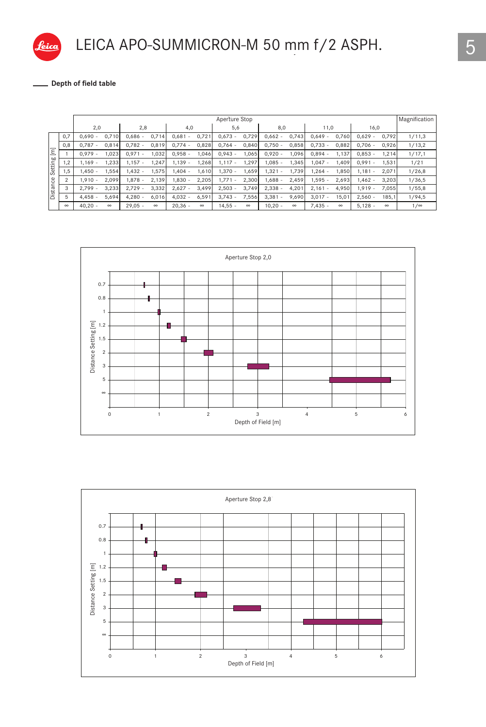

### LEICA APO-SUMMICRON-M 50 mm f/2 ASPH.

**Depth of field table**

|                       |           |          |           |          |           |          | Aperture Stop   |          |           |          |           |          |           |          | Magnification |
|-----------------------|-----------|----------|-----------|----------|-----------|----------|-----------------|----------|-----------|----------|-----------|----------|-----------|----------|---------------|
|                       | 2,0       |          | 2,8       |          | 4,0       |          | 5,6             |          | 8,0       |          | 11,0      |          | 16,0      |          |               |
| 0,7                   | $0.690 -$ | 0.710    | $0.686 -$ | 0,714    | $0,681 -$ | 0,721    | $0,673 -$       | 0,729    | $0,662 -$ | 0,743    | $0.649 -$ | 0,760    | $0,629 -$ | 0,792    | 1/11,3        |
| 0,8                   | $0.787 -$ | 0.814    | $0.782 -$ | 0.819    | $0.774 -$ | 0,828    | $0.764 -$       | 0,840    | $0.750 -$ | 0,858    | $0.733 -$ | 0,882    | $0.706 -$ | 0,926    | 1/13,2        |
| $\overline{\epsilon}$ | $0.979 -$ | .023     | $0.971 -$ | 1.032    | $0.958 -$ | 1,046    | $0.943 -$       | 1.065    | $0.920 -$ | 1,096    | $0.894 -$ | 1.137    | $0.853 -$ | 1,214    | 1/17,1        |
| Setting<br>1,2        | $1.169 -$ | .233     | $1.157 -$ | 1,247    | $1.139 -$ | 1,268    | $1,117 -$       | 1,297    | $1.085 -$ | 1,345    | $1.047 -$ | 1,409    | $0.991 -$ | 1,531    | 1/21          |
| 1,5                   | $1.450 -$ | .554     | $1.432 -$ | 1.575    | $1.404 -$ | 1,610    | $1.370 -$       | 1.659    | $1.321 -$ | 1.739    | $1.264 -$ | ,850     | $1.181 -$ | 2,071    | 1/26,8        |
| $\overline{2}$        | $1.910 -$ | 2.099    | $1.878 -$ | 2,139    | $1,830 -$ | 2,205    | 1,771<br>$\sim$ | 2,300    | $1.688 -$ | 2,459    | 1,595 -   | 2,693    | $1,462 -$ | 3,203    | 1/36,5        |
| Distance<br>3         | $2.799 -$ | 3,233    | $2.729 -$ | 3,332    | $2,627 -$ | 3,499    | $2,503 -$       | 3,749    | $2,338 -$ | 4,201    | $2.161 -$ | 4,950    | $1.919 -$ | 7,055    | 1/55,8        |
| 5                     | $4.458 -$ | 5,694    | $4.280 -$ | 6.016    | $4.032 -$ | 6,591    | $3.743 -$       | 7,556    | $3,381 -$ | 9,690    | $3.017 -$ | 15,01    | $2.560 -$ | 185,1    | 1/94,5        |
| $\infty$              | $40.20 -$ | $\infty$ | $29.05 -$ | $\infty$ | $20.36 -$ | $\infty$ | $14,55 -$       | $\infty$ | $10,20 -$ | $\infty$ | $7.435 -$ | $\infty$ | $5,128 -$ | $\infty$ | $1/\infty$    |



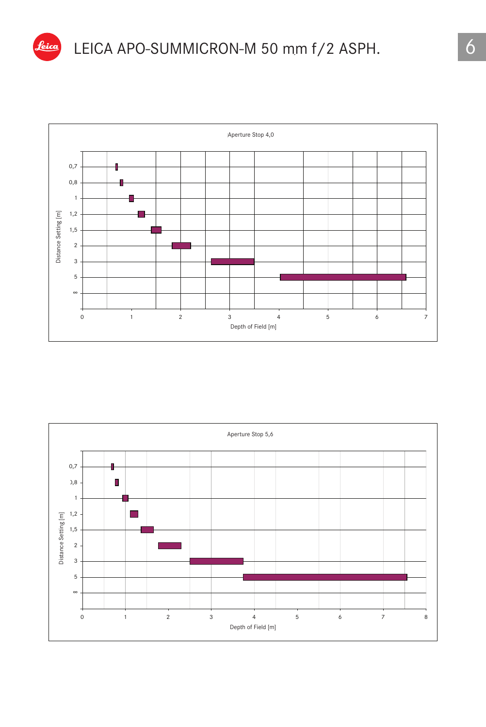



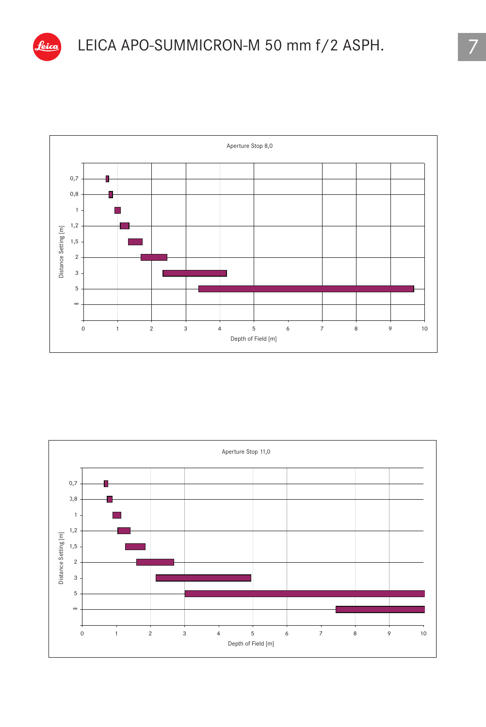

# LEICA APO-SUMMICRON-M 50 mm f/2 ASPH. 7